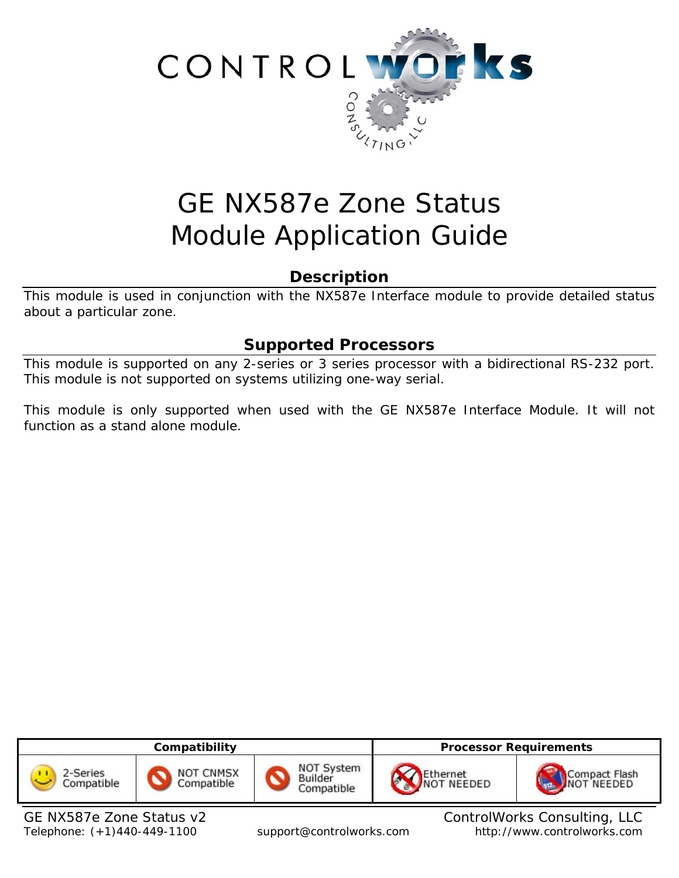

# GE NX587e Zone Status Module Application Guide

# **Description**

This module is used in conjunction with the NX587e Interface module to provide detailed status about a particular zone.

# **Supported Processors**

This module is supported on any 2-series or 3 series processor with a bidirectional RS-232 port. This module is not supported on systems utilizing one-way serial.

This module is only supported when used with the GE NX587e Interface Module. It will not function as a stand alone module.



GE NX587e Zone Status v2 ControlWorks Consulting, LLC Telephone: (+1)440-449-1100 support@controlworks.com http://www.controlworks.com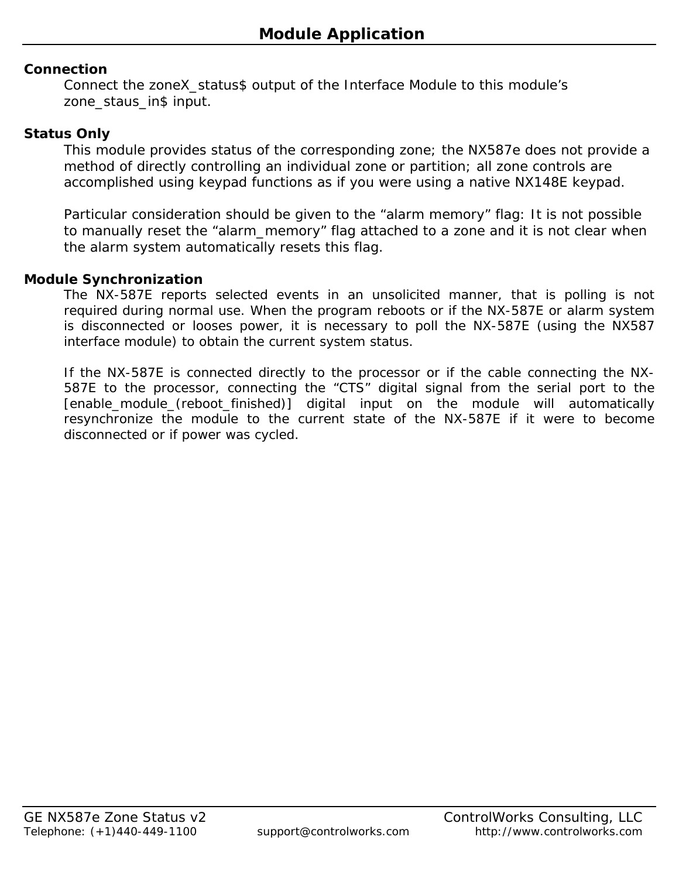## **Connection**

Connect the zoneX\_status\$ output of the Interface Module to this module's zone\_staus\_in\$ input.

## **Status Only**

This module provides status of the corresponding zone; the NX587e does not provide a method of directly controlling an individual zone or partition; all zone controls are accomplished using keypad functions as if you were using a native NX148E keypad.

Particular consideration should be given to the "alarm memory" flag: It is not possible to manually reset the "alarm\_memory" flag attached to a zone and it is not clear when the alarm system automatically resets this flag.

#### **Module Synchronization**

The NX-587E reports selected events in an unsolicited manner, that is polling is not required during normal use. When the program reboots or if the NX-587E or alarm system is disconnected or looses power, it is necessary to poll the NX-587E (using the NX587 interface module) to obtain the current system status.

If the NX-587E is connected directly to the processor or if the cable connecting the NX-587E to the processor, connecting the "CTS" digital signal from the serial port to the [enable\_module\_(reboot\_finished)] digital input on the module will automatically resynchronize the module to the current state of the NX-587E if it were to become disconnected or if power was cycled.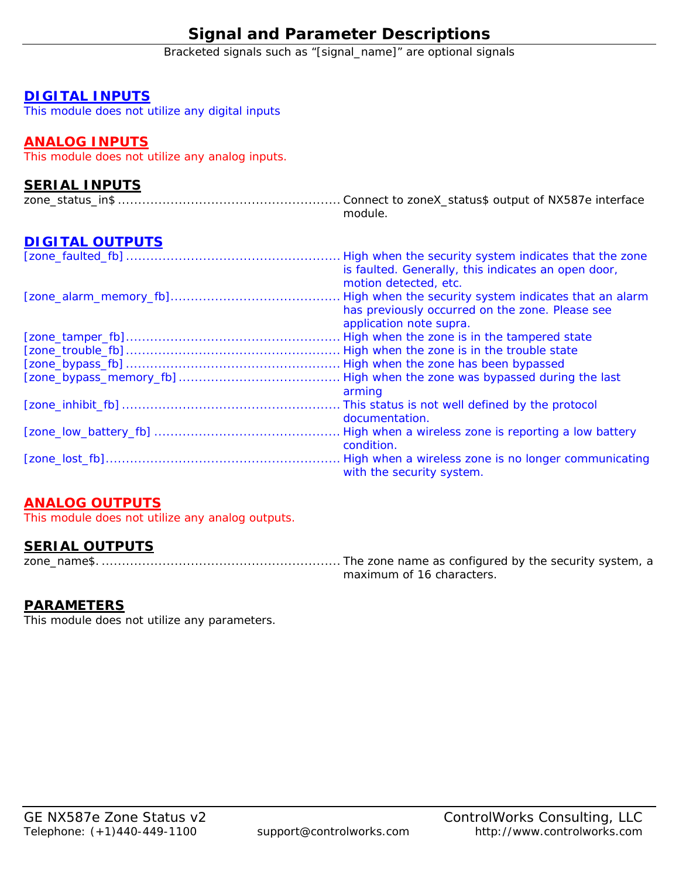# **Signal and Parameter Descriptions**

Bracketed signals such as "[signal\_name]" are optional signals

#### **DIGITAL INPUTS**

This module does not utilize any digital inputs

## **ANALOG INPUTS**

This module does not utilize any analog inputs.

## **SERIAL INPUTS**

|  |  | module. |  |  |  |
|--|--|---------|--|--|--|

# **DIGITAL OUTPUTS**

| High when the security system indicates that the zone |
|-------------------------------------------------------|
| is faulted. Generally, this indicates an open door,   |
| motion detected, etc.                                 |
| High when the security system indicates that an alarm |
| has previously occurred on the zone. Please see       |
| application note supra.                               |
| High when the zone is in the tampered state           |
|                                                       |
|                                                       |
| High when the zone was bypassed during the last       |
| arming                                                |
| . This status is not well defined by the protocol     |
| documentation.                                        |
|                                                       |
| condition.                                            |
| High when a wireless zone is no longer communicating  |
| with the security system.                             |

# **ANALOG OUTPUTS**

This module does not utilize any analog outputs.

## **SERIAL OUTPUTS**

zone\_name\$. ........................................................... The zone name as configured by the security system, a maximum of 16 characters.

#### **PARAMETERS**

This module does not utilize any parameters.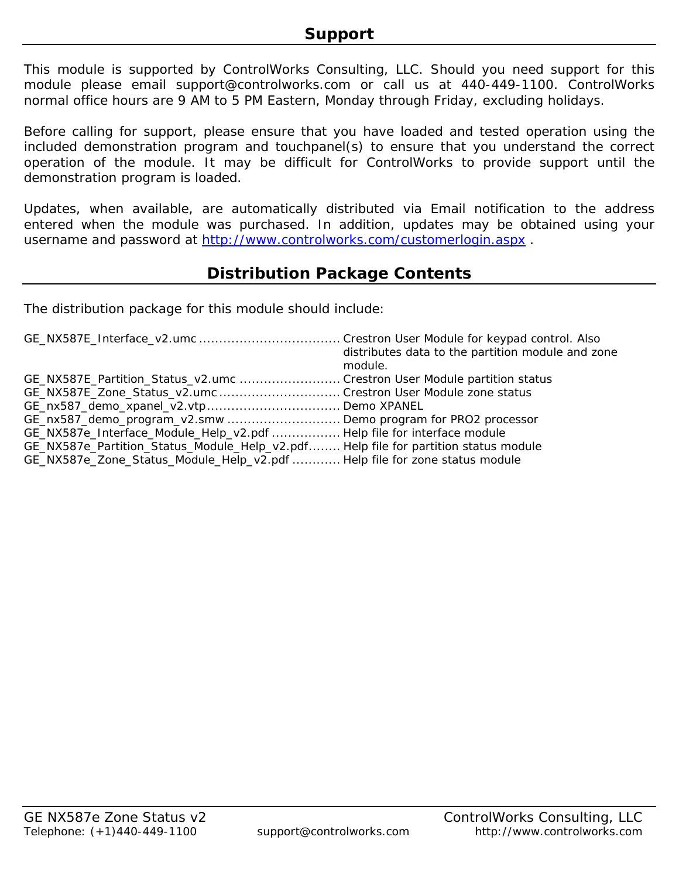This module is supported by ControlWorks Consulting, LLC. Should you need support for this module please email support@controlworks.com or call us at 440-449-1100. ControlWorks normal office hours are 9 AM to 5 PM Eastern, Monday through Friday, excluding holidays.

Before calling for support, please ensure that you have loaded and tested operation using the included demonstration program and touchpanel(s) to ensure that you understand the correct operation of the module. It may be difficult for ControlWorks to provide support until the demonstration program is loaded.

Updates, when available, are automatically distributed via Email notification to the address entered when the module was purchased. In addition, updates may be obtained using your username and password at http://www.controlworks.com/customerlogin.aspx .

# **Distribution Package Contents**

The distribution package for this module should include:

|                                                                                     | distributes data to the partition module and zone<br>module. |
|-------------------------------------------------------------------------------------|--------------------------------------------------------------|
| GE_NX587E_Partition_Status_v2.umc  Crestron User Module partition status            |                                                              |
| GE_NX587E_Zone_Status_v2.umc  Crestron User Module zone status                      |                                                              |
|                                                                                     |                                                              |
| GE_nx587_demo_program_v2.smw Demo program for PRO2 processor                        |                                                              |
| GE_NX587e_Interface_Module_Help_v2.pdf  Help file for interface module              |                                                              |
| GE_NX587e_Partition_Status_Module_Help_v2.pdf Help file for partition status module |                                                              |
| GE_NX587e_Zone_Status_Module_Help_v2.pdf  Help file for zone status module          |                                                              |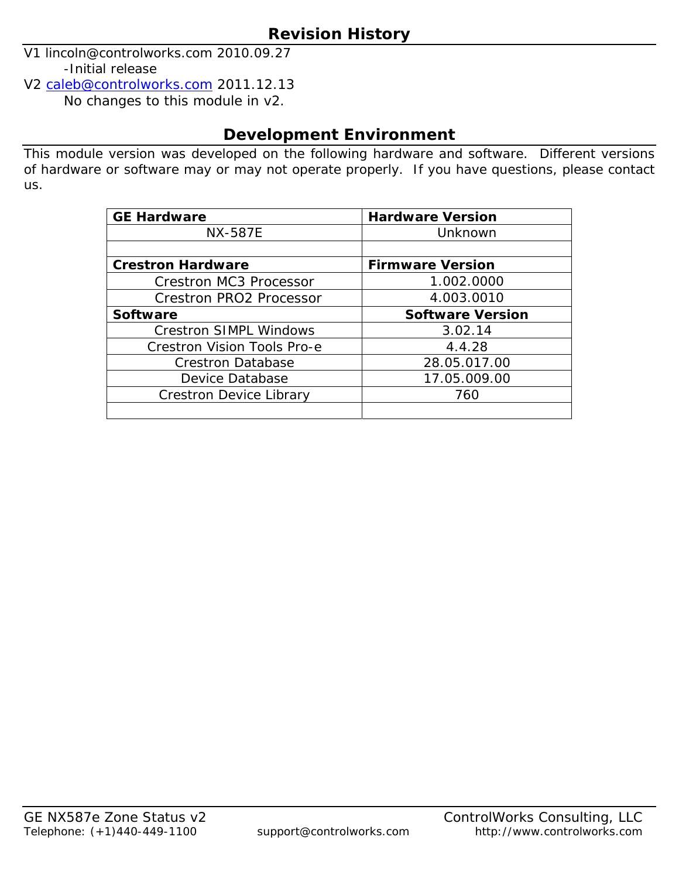V1 lincoln@controlworks.com 2010.09.27 -Initial release

V2 caleb@controlworks.com 2011.12.13

No changes to this module in v2.

# **Development Environment**

This module version was developed on the following hardware and software. Different versions of hardware or software may or may not operate properly. If you have questions, please contact us.

| <b>GE Hardware</b>                 | <b>Hardware Version</b> |  |  |  |
|------------------------------------|-------------------------|--|--|--|
| <b>NX-587E</b>                     | Unknown                 |  |  |  |
|                                    |                         |  |  |  |
| <b>Crestron Hardware</b>           | <b>Firmware Version</b> |  |  |  |
| <b>Crestron MC3 Processor</b>      | 1.002.0000              |  |  |  |
| <b>Crestron PRO2 Processor</b>     | 4.003.0010              |  |  |  |
| <b>Software</b>                    | <b>Software Version</b> |  |  |  |
| <b>Crestron SIMPL Windows</b>      | 3.02.14                 |  |  |  |
| <b>Crestron Vision Tools Pro-e</b> | 4.4.28                  |  |  |  |
| <b>Crestron Database</b>           | 28.05.017.00            |  |  |  |
| Device Database                    | 17.05.009.00            |  |  |  |
| <b>Crestron Device Library</b>     | 760                     |  |  |  |
|                                    |                         |  |  |  |